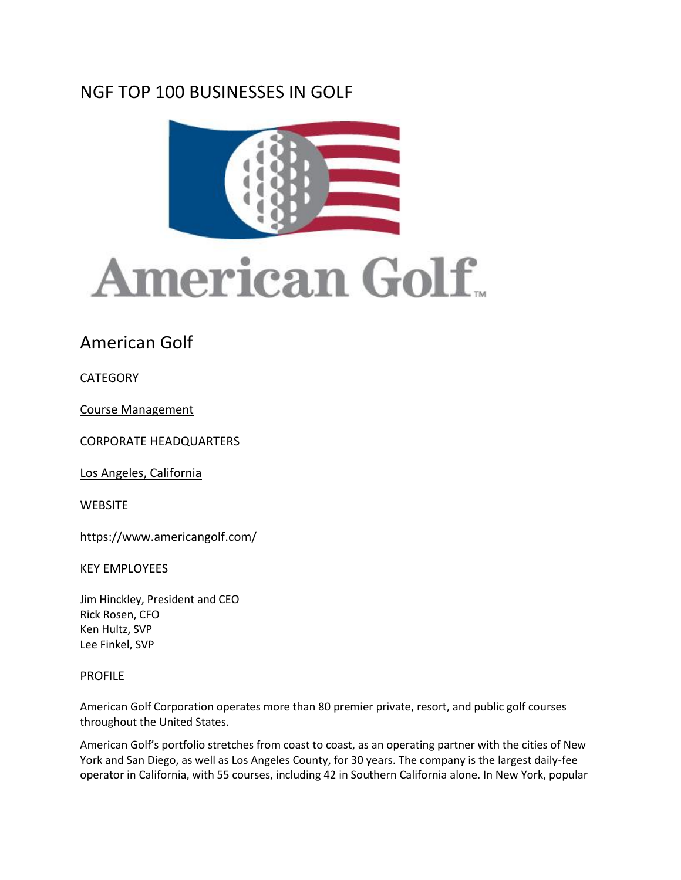## NGF TOP 100 BUSINESSES IN GOLF





## American Golf

**CATEGORY** 

[Course Management](https://www.thengfq.com/top-100/course-management/)

CORPORATE HEADQUARTERS

[Los Angeles, California](x-apple-data-detectors://7/1)

**WEBSITE** 

<https://www.americangolf.com/>

KEY EMPLOYEES

Jim Hinckley, President and CEO Rick Rosen, CFO Ken Hultz, SVP Lee Finkel, SVP

## PROFILE

American Golf Corporation operates more than 80 premier private, resort, and public golf courses throughout the United States.

American Golf's portfolio stretches from coast to coast, as an operating partner with the cities of New York and San Diego, as well as Los Angeles County, for 30 years. The company is the largest daily-fee operator in California, with 55 courses, including 42 in Southern California alone. In New York, popular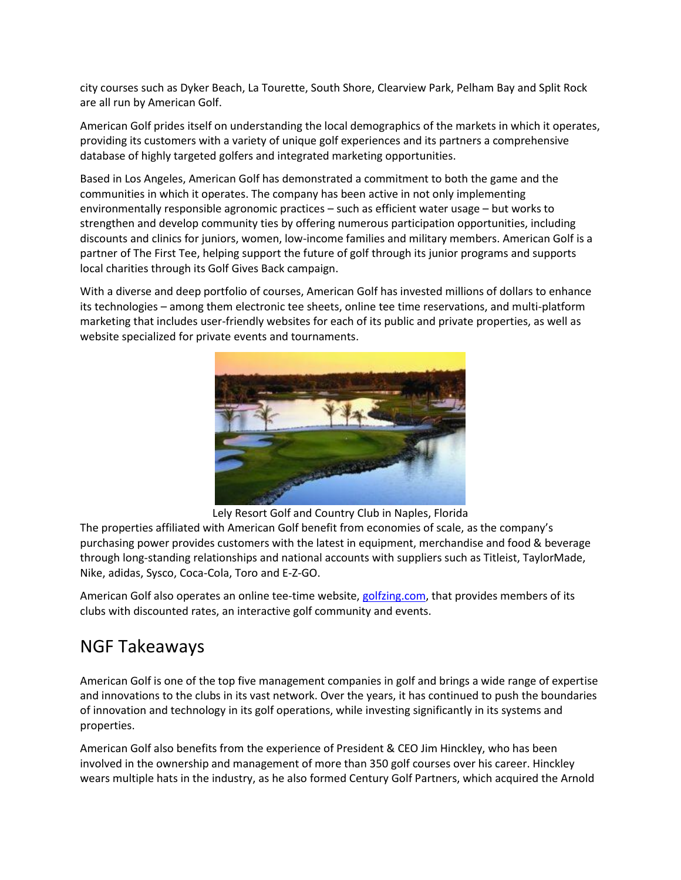city courses such as Dyker Beach, La Tourette, South Shore, Clearview Park, Pelham Bay and Split Rock are all run by American Golf.

American Golf prides itself on understanding the local demographics of the markets in which it operates, providing its customers with a variety of unique golf experiences and its partners a comprehensive database of highly targeted golfers and integrated marketing opportunities.

Based in Los Angeles, American Golf has demonstrated a commitment to both the game and the communities in which it operates. The company has been active in not only implementing environmentally responsible agronomic practices – such as efficient water usage – but works to strengthen and develop community ties by offering numerous participation opportunities, including discounts and clinics for juniors, women, low-income families and military members. American Golf is a partner of The First Tee, helping support the future of golf through its junior programs and supports local charities through its Golf Gives Back campaign.

With a diverse and deep portfolio of courses, American Golf has invested millions of dollars to enhance its technologies – among them electronic tee sheets, online tee time reservations, and multi-platform marketing that includes user-friendly websites for each of its public and private properties, as well as website specialized for private events and tournaments.



Lely Resort Golf and Country Club in Naples, Florida

The properties affiliated with American Golf benefit from economies of scale, as the company's purchasing power provides customers with the latest in equipment, merchandise and food & beverage through long-standing relationships and national accounts with suppliers such as Titleist, TaylorMade, Nike, adidas, Sysco, Coca-Cola, Toro and E-Z-GO.

American Golf also operates an online tee-time website, [golfzing.com,](http://golfzing.com/) that provides members of its clubs with discounted rates, an interactive golf community and events.

## NGF Takeaways

American Golf is one of the top five management companies in golf and brings a wide range of expertise and innovations to the clubs in its vast network. Over the years, it has continued to push the boundaries of innovation and technology in its golf operations, while investing significantly in its systems and properties.

American Golf also benefits from the experience of President & CEO Jim Hinckley, who has been involved in the ownership and management of more than 350 golf courses over his career. Hinckley wears multiple hats in the industry, as he also formed Century Golf Partners, which acquired the Arnold